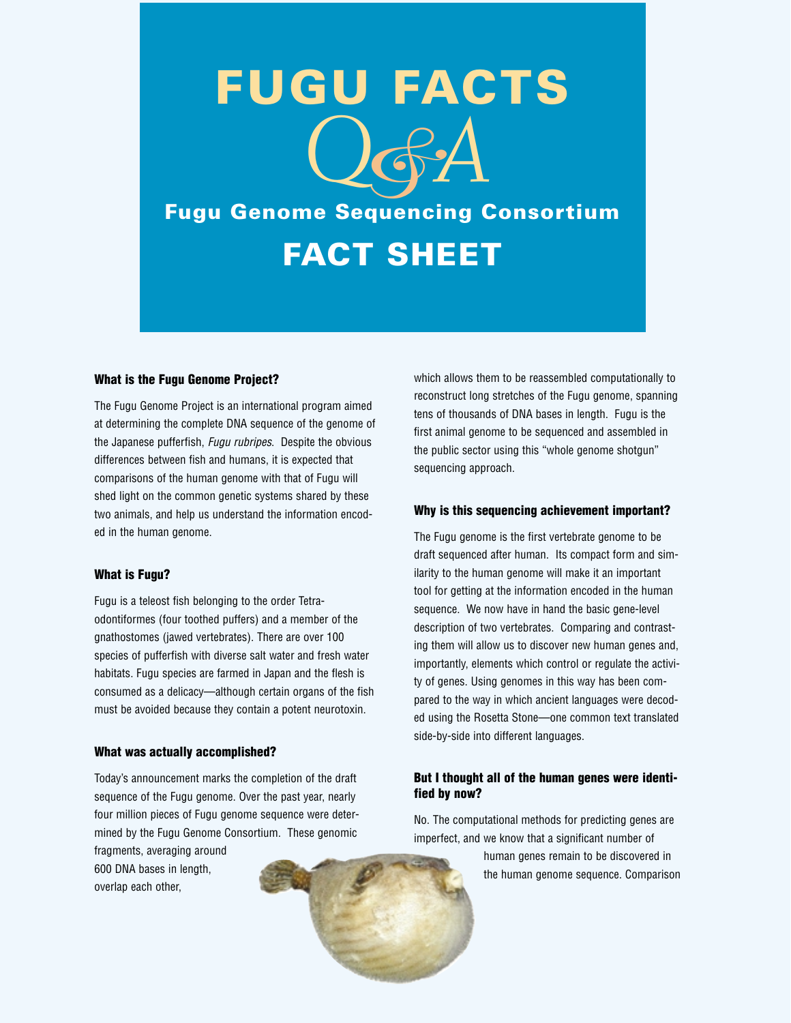**FUGU FACTS Fugu Genome Sequencing Consortium FACT SHEET** *Q&A*

### **What is the Fugu Genome Project?**

The Fugu Genome Project is an international program aimed at determining the complete DNA sequence of the genome of the Japanese pufferfish, Fugu rubripes. Despite the obvious differences between fish and humans, it is expected that comparisons of the human genome with that of Fugu will shed light on the common genetic systems shared by these two animals, and help us understand the information encoded in the human genome.

## **What is Fugu?**

Fugu is a teleost fish belonging to the order Tetraodontiformes (four toothed puffers) and a member of the gnathostomes (jawed vertebrates). There are over 100 species of pufferfish with diverse salt water and fresh water habitats. Fugu species are farmed in Japan and the flesh is consumed as a delicacy—although certain organs of the fish must be avoided because they contain a potent neurotoxin.

#### **What was actually accomplished?**

Today's announcement marks the completion of the draft sequence of the Fugu genome. Over the past year, nearly four million pieces of Fugu genome sequence were determined by the Fugu Genome Consortium. These genomic

fragments, averaging around 600 DNA bases in length, overlap each other,



which allows them to be reassembled computationally to reconstruct long stretches of the Fugu genome, spanning tens of thousands of DNA bases in length. Fugu is the first animal genome to be sequenced and assembled in the public sector using this "whole genome shotgun" sequencing approach.

#### **Why is this sequencing achievement important?**

The Fugu genome is the first vertebrate genome to be draft sequenced after human. Its compact form and similarity to the human genome will make it an important tool for getting at the information encoded in the human sequence. We now have in hand the basic gene-level description of two vertebrates. Comparing and contrasting them will allow us to discover new human genes and, importantly, elements which control or regulate the activity of genes. Using genomes in this way has been compared to the way in which ancient languages were decoded using the Rosetta Stone—one common text translated side-by-side into different languages.

# **But I thought all of the human genes were identified by now?**

No. The computational methods for predicting genes are imperfect, and we know that a significant number of

> human genes remain to be discovered in the human genome sequence. Comparison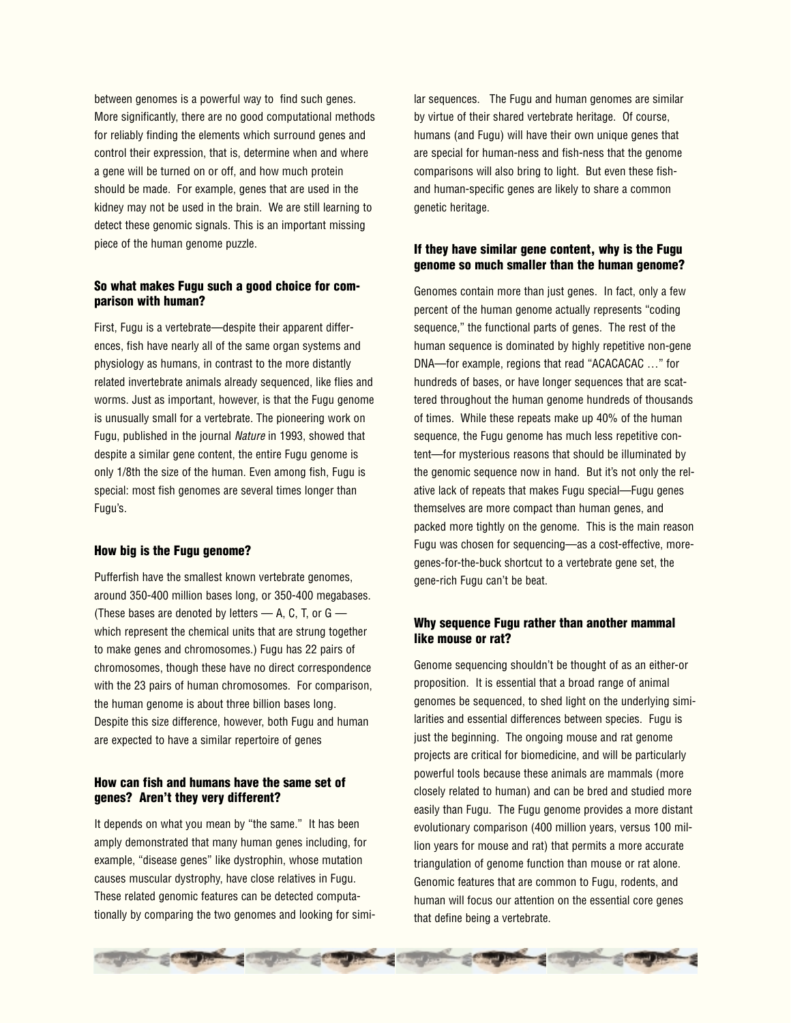between genomes is a powerful way to find such genes. More significantly, there are no good computational methods for reliably finding the elements which surround genes and control their expression, that is, determine when and where a gene will be turned on or off, and how much protein should be made. For example, genes that are used in the kidney may not be used in the brain. We are still learning to detect these genomic signals. This is an important missing piece of the human genome puzzle.

# **So what makes Fugu such a good choice for comparison with human?**

First, Fugu is a vertebrate—despite their apparent differences, fish have nearly all of the same organ systems and physiology as humans, in contrast to the more distantly related invertebrate animals already sequenced, like flies and worms. Just as important, however, is that the Fugu genome is unusually small for a vertebrate. The pioneering work on Fugu, published in the journal Nature in 1993, showed that despite a similar gene content, the entire Fugu genome is only 1/8th the size of the human. Even among fish, Fugu is special: most fish genomes are several times longer than Fugu's.

#### **How big is the Fugu genome?**

Pufferfish have the smallest known vertebrate genomes, around 350-400 million bases long, or 350-400 megabases. (These bases are denoted by letters  $-$  A, C, T, or G  $$ which represent the chemical units that are strung together to make genes and chromosomes.) Fugu has 22 pairs of chromosomes, though these have no direct correspondence with the 23 pairs of human chromosomes. For comparison, the human genome is about three billion bases long. Despite this size difference, however, both Fugu and human are expected to have a similar repertoire of genes

## **How can fish and humans have the same set of genes? Aren't they very different?**

It depends on what you mean by "the same." It has been amply demonstrated that many human genes including, for example, "disease genes" like dystrophin, whose mutation causes muscular dystrophy, have close relatives in Fugu. These related genomic features can be detected computationally by comparing the two genomes and looking for similar sequences. The Fugu and human genomes are similar by virtue of their shared vertebrate heritage. Of course, humans (and Fugu) will have their own unique genes that are special for human-ness and fish-ness that the genome comparisons will also bring to light. But even these fishand human-specific genes are likely to share a common genetic heritage.

# **If they have similar gene content, why is the Fugu genome so much smaller than the human genome?**

Genomes contain more than just genes. In fact, only a few percent of the human genome actually represents "coding sequence," the functional parts of genes. The rest of the human sequence is dominated by highly repetitive non-gene DNA—for example, regions that read "ACACACAC …" for hundreds of bases, or have longer sequences that are scattered throughout the human genome hundreds of thousands of times. While these repeats make up 40% of the human sequence, the Fugu genome has much less repetitive content—for mysterious reasons that should be illuminated by the genomic sequence now in hand. But it's not only the relative lack of repeats that makes Fugu special—Fugu genes themselves are more compact than human genes, and packed more tightly on the genome. This is the main reason Fugu was chosen for sequencing—as a cost-effective, moregenes-for-the-buck shortcut to a vertebrate gene set, the gene-rich Fugu can't be beat.

## **Why sequence Fugu rather than another mammal like mouse or rat?**

Genome sequencing shouldn't be thought of as an either-or proposition. It is essential that a broad range of animal genomes be sequenced, to shed light on the underlying similarities and essential differences between species. Fugu is just the beginning. The ongoing mouse and rat genome projects are critical for biomedicine, and will be particularly powerful tools because these animals are mammals (more closely related to human) and can be bred and studied more easily than Fugu. The Fugu genome provides a more distant evolutionary comparison (400 million years, versus 100 million years for mouse and rat) that permits a more accurate triangulation of genome function than mouse or rat alone. Genomic features that are common to Fugu, rodents, and human will focus our attention on the essential core genes that define being a vertebrate.

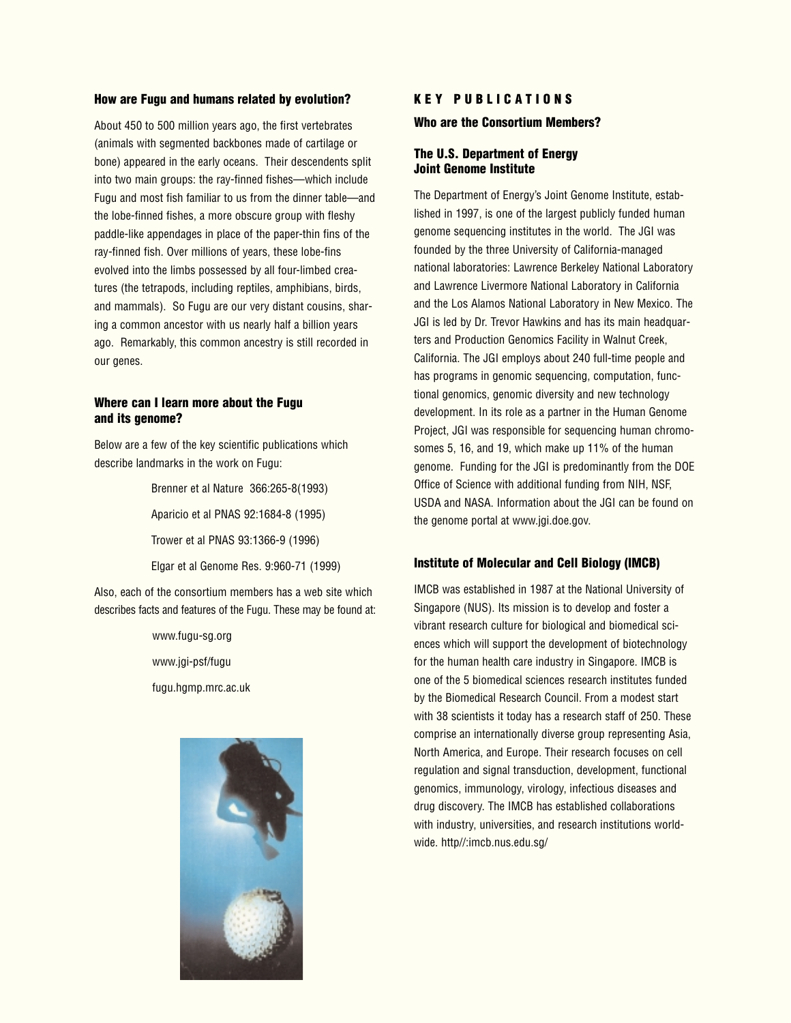### **How are Fugu and humans related by evolution?**

About 450 to 500 million years ago, the first vertebrates (animals with segmented backbones made of cartilage or bone) appeared in the early oceans. Their descendents split into two main groups: the ray-finned fishes—which include Fugu and most fish familiar to us from the dinner table—and the lobe-finned fishes, a more obscure group with fleshy paddle-like appendages in place of the paper-thin fins of the ray-finned fish. Over millions of years, these lobe-fins evolved into the limbs possessed by all four-limbed creatures (the tetrapods, including reptiles, amphibians, birds, and mammals). So Fugu are our very distant cousins, sharing a common ancestor with us nearly half a billion years ago. Remarkably, this common ancestry is still recorded in our genes.

# **Where can I learn more about the Fugu and its genome?**

Below are a few of the key scientific publications which describe landmarks in the work on Fugu:

> Brenner et al Nature 366:265-8(1993) Aparicio et al PNAS 92:1684-8 (1995) Trower et al PNAS 93:1366-9 (1996) Elgar et al Genome Res. 9:960-71 (1999)

Also, each of the consortium members has a web site which describes facts and features of the Fugu. These may be found at:

> www.fugu-sg.org www.jgi-psf/fugu fugu.hgmp.mrc.ac.uk



#### **KEY PUBLICATIONS**

#### **Who are the Consortium Members?**

### **The U.S. Department of Energy Joint Genome Institute**

The Department of Energy's Joint Genome Institute, established in 1997, is one of the largest publicly funded human genome sequencing institutes in the world. The JGI was founded by the three University of California-managed national laboratories: Lawrence Berkeley National Laboratory and Lawrence Livermore National Laboratory in California and the Los Alamos National Laboratory in New Mexico. The JGI is led by Dr. Trevor Hawkins and has its main headquarters and Production Genomics Facility in Walnut Creek, California. The JGI employs about 240 full-time people and has programs in genomic sequencing, computation, functional genomics, genomic diversity and new technology development. In its role as a partner in the Human Genome Project, JGI was responsible for sequencing human chromosomes 5, 16, and 19, which make up 11% of the human genome. Funding for the JGI is predominantly from the DOE Office of Science with additional funding from NIH, NSF, USDA and NASA. Information about the JGI can be found on the genome portal at www.jgi.doe.gov.

## **Institute of Molecular and Cell Biology (IMCB)**

IMCB was established in 1987 at the National University of Singapore (NUS). Its mission is to develop and foster a vibrant research culture for biological and biomedical sciences which will support the development of biotechnology for the human health care industry in Singapore. IMCB is one of the 5 biomedical sciences research institutes funded by the Biomedical Research Council. From a modest start with 38 scientists it today has a research staff of 250. These comprise an internationally diverse group representing Asia, North America, and Europe. Their research focuses on cell regulation and signal transduction, development, functional genomics, immunology, virology, infectious diseases and drug discovery. The IMCB has established collaborations with industry, universities, and research institutions worldwide. http//:imcb.nus.edu.sg/